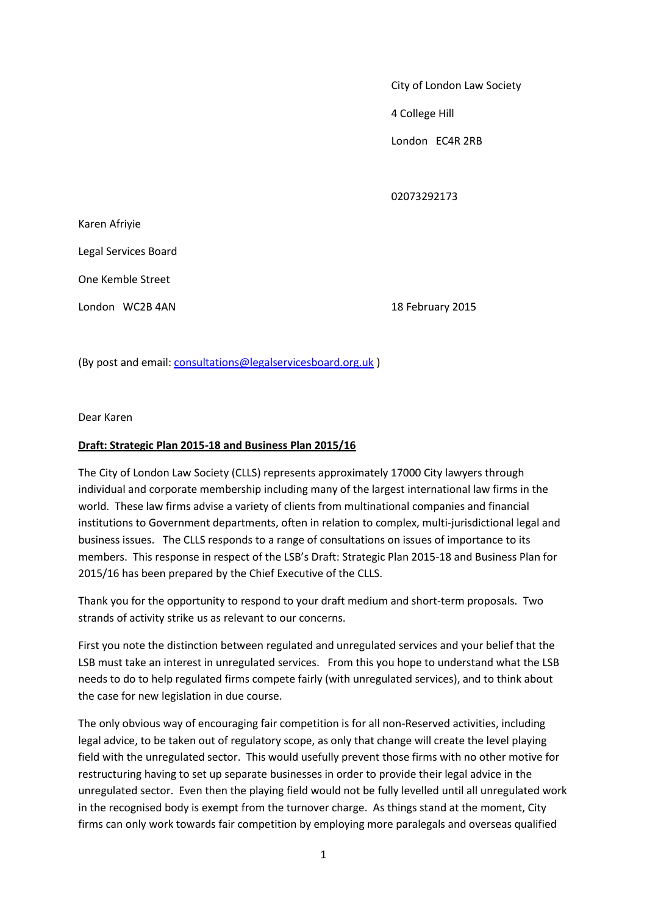## City of London Law Society

4 College Hill

London EC4R 2RB

02073292173

| Karen Afriyie        |
|----------------------|
| Legal Services Board |
| One Kemble Street    |
| London WC2B 4AN      |

18 February 2015

(By post and email: [consultations@legalservicesboard.org.uk](mailto:consultations@legalservicesboard.org.uk) )

Dear Karen

## **Draft: Strategic Plan 2015-18 and Business Plan 2015/16**

The City of London Law Society (CLLS) represents approximately 17000 City lawyers through individual and corporate membership including many of the largest international law firms in the world. These law firms advise a variety of clients from multinational companies and financial institutions to Government departments, often in relation to complex, multi-jurisdictional legal and business issues. The CLLS responds to a range of consultations on issues of importance to its members. This response in respect of the LSB's Draft: Strategic Plan 2015-18 and Business Plan for 2015/16 has been prepared by the Chief Executive of the CLLS.

Thank you for the opportunity to respond to your draft medium and short-term proposals. Two strands of activity strike us as relevant to our concerns.

First you note the distinction between regulated and unregulated services and your belief that the LSB must take an interest in unregulated services. From this you hope to understand what the LSB needs to do to help regulated firms compete fairly (with unregulated services), and to think about the case for new legislation in due course.

The only obvious way of encouraging fair competition is for all non-Reserved activities, including legal advice, to be taken out of regulatory scope, as only that change will create the level playing field with the unregulated sector. This would usefully prevent those firms with no other motive for restructuring having to set up separate businesses in order to provide their legal advice in the unregulated sector. Even then the playing field would not be fully levelled until all unregulated work in the recognised body is exempt from the turnover charge. As things stand at the moment, City firms can only work towards fair competition by employing more paralegals and overseas qualified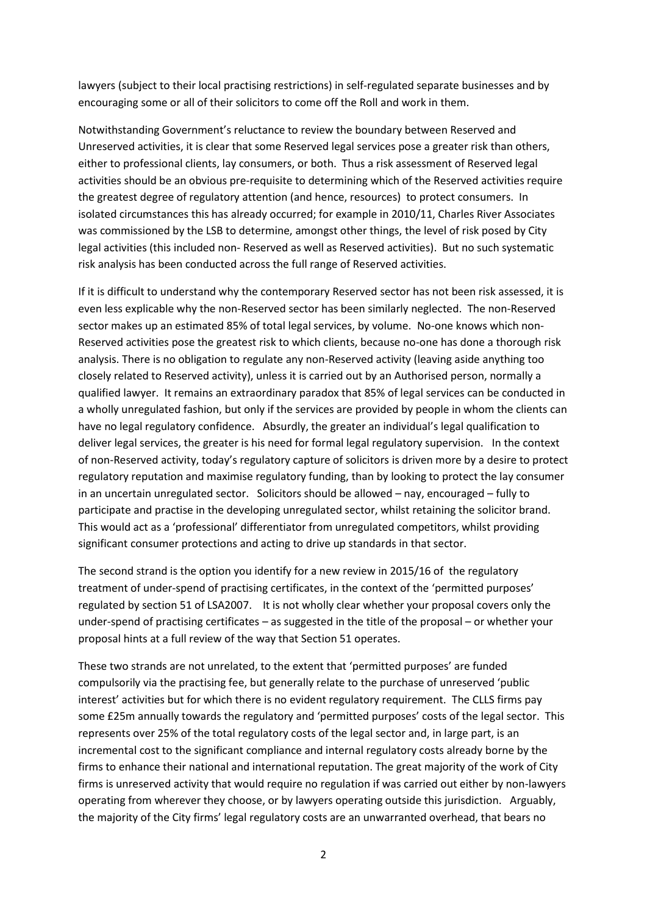lawyers (subject to their local practising restrictions) in self-regulated separate businesses and by encouraging some or all of their solicitors to come off the Roll and work in them.

Notwithstanding Government's reluctance to review the boundary between Reserved and Unreserved activities, it is clear that some Reserved legal services pose a greater risk than others, either to professional clients, lay consumers, or both. Thus a risk assessment of Reserved legal activities should be an obvious pre-requisite to determining which of the Reserved activities require the greatest degree of regulatory attention (and hence, resources) to protect consumers. In isolated circumstances this has already occurred; for example in 2010/11, Charles River Associates was commissioned by the LSB to determine, amongst other things, the level of risk posed by City legal activities (this included non- Reserved as well as Reserved activities). But no such systematic risk analysis has been conducted across the full range of Reserved activities.

If it is difficult to understand why the contemporary Reserved sector has not been risk assessed, it is even less explicable why the non-Reserved sector has been similarly neglected. The non-Reserved sector makes up an estimated 85% of total legal services, by volume. No-one knows which non-Reserved activities pose the greatest risk to which clients, because no-one has done a thorough risk analysis. There is no obligation to regulate any non-Reserved activity (leaving aside anything too closely related to Reserved activity), unless it is carried out by an Authorised person, normally a qualified lawyer. It remains an extraordinary paradox that 85% of legal services can be conducted in a wholly unregulated fashion, but only if the services are provided by people in whom the clients can have no legal regulatory confidence. Absurdly, the greater an individual's legal qualification to deliver legal services, the greater is his need for formal legal regulatory supervision. In the context of non-Reserved activity, today's regulatory capture of solicitors is driven more by a desire to protect regulatory reputation and maximise regulatory funding, than by looking to protect the lay consumer in an uncertain unregulated sector. Solicitors should be allowed – nay, encouraged – fully to participate and practise in the developing unregulated sector, whilst retaining the solicitor brand. This would act as a 'professional' differentiator from unregulated competitors, whilst providing significant consumer protections and acting to drive up standards in that sector.

The second strand is the option you identify for a new review in 2015/16 of the regulatory treatment of under-spend of practising certificates, in the context of the 'permitted purposes' regulated by section 51 of LSA2007. It is not wholly clear whether your proposal covers only the under-spend of practising certificates – as suggested in the title of the proposal – or whether your proposal hints at a full review of the way that Section 51 operates.

These two strands are not unrelated, to the extent that 'permitted purposes' are funded compulsorily via the practising fee, but generally relate to the purchase of unreserved 'public interest' activities but for which there is no evident regulatory requirement. The CLLS firms pay some £25m annually towards the regulatory and 'permitted purposes' costs of the legal sector. This represents over 25% of the total regulatory costs of the legal sector and, in large part, is an incremental cost to the significant compliance and internal regulatory costs already borne by the firms to enhance their national and international reputation. The great majority of the work of City firms is unreserved activity that would require no regulation if was carried out either by non-lawyers operating from wherever they choose, or by lawyers operating outside this jurisdiction. Arguably, the majority of the City firms' legal regulatory costs are an unwarranted overhead, that bears no